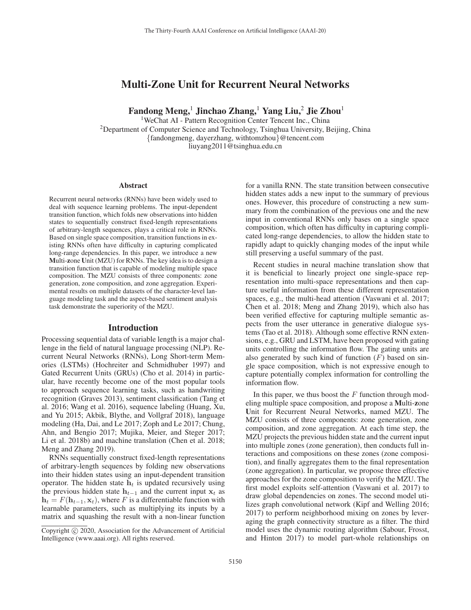# Multi-Zone Unit for Recurrent Neural Networks

Fandong Meng,<sup>1</sup> Jinchao Zhang,<sup>1</sup> Yang Liu,<sup>2</sup> Jie Zhou<sup>1</sup>

<sup>1</sup>WeChat AI - Pattern Recognition Center Tencent Inc., China <sup>2</sup>Department of Computer Science and Technology, Tsinghua University, Beijing, China {fandongmeng, dayerzhang, withtomzhou}@tencent.com liuyang2011@tsinghua.edu.cn

#### **Abstract**

Recurrent neural networks (RNNs) have been widely used to deal with sequence learning problems. The input-dependent transition function, which folds new observations into hidden states to sequentially construct fixed-length representations of arbitrary-length sequences, plays a critical role in RNNs. Based on single space composition, transition functions in existing RNNs often have difficulty in capturing complicated long-range dependencies. In this paper, we introduce a new Multi-zone Unit (MZU) for RNNs. The key idea is to design a transition function that is capable of modeling multiple space composition. The MZU consists of three components: zone generation, zone composition, and zone aggregation. Experimental results on multiple datasets of the character-level language modeling task and the aspect-based sentiment analysis task demonstrate the superiority of the MZU.

## Introduction

Processing sequential data of variable length is a major challenge in the field of natural language processing (NLP). Recurrent Neural Networks (RNNs), Long Short-term Memories (LSTMs) (Hochreiter and Schmidhuber 1997) and Gated Recurrent Units (GRUs) (Cho et al. 2014) in particular, have recently become one of the most popular tools to approach sequence learning tasks, such as handwriting recognition (Graves 2013), sentiment classification (Tang et al. 2016; Wang et al. 2016), sequence labeling (Huang, Xu, and Yu 2015; Akbik, Blythe, and Vollgraf 2018), language modeling (Ha, Dai, and Le 2017; Zoph and Le 2017; Chung, Ahn, and Bengio 2017; Mujika, Meier, and Steger 2017; Li et al. 2018b) and machine translation (Chen et al. 2018; Meng and Zhang 2019).

RNNs sequentially construct fixed-length representations of arbitrary-length sequences by folding new observations into their hidden states using an input-dependent transition operator. The hidden state  $h_t$  is updated recursively using the previous hidden state  $h_{t-1}$  and the current input  $x_t$  as  $h_t = F(h_{t-1}, \mathbf{x}_t)$ , where F is a differentiable function with learnable parameters, such as multiplying its inputs by a matrix and squashing the result with a non-linear function

for a vanilla RNN. The state transition between consecutive hidden states adds a new input to the summary of previous ones. However, this procedure of constructing a new summary from the combination of the previous one and the new input in conventional RNNs only bases on a single space composition, which often has difficulty in capturing complicated long-range dependencies, to allow the hidden state to rapidly adapt to quickly changing modes of the input while still preserving a useful summary of the past.

Recent studies in neural machine translation show that it is beneficial to linearly project one single-space representation into multi-space representations and then capture useful information from these different representation spaces, e.g., the multi-head attention (Vaswani et al. 2017; Chen et al. 2018; Meng and Zhang 2019), which also has been verified effective for capturing multiple semantic aspects from the user utterance in generative dialogue systems (Tao et al. 2018). Although some effective RNN extensions, e.g., GRU and LSTM, have been proposed with gating units controlling the information flow. The gating units are also generated by such kind of function  $(F)$  based on single space composition, which is not expressive enough to capture potentially complex information for controlling the information flow.

In this paper, we thus boost the  $F$  function through modeling multiple space composition, and propose a Multi-zone Unit for Recurrent Neural Networks, named MZU. The MZU consists of three components: zone generation, zone composition, and zone aggregation. At each time step, the MZU projects the previous hidden state and the current input into multiple zones (zone generation), then conducts full interactions and compositions on these zones (zone composition), and finally aggregates them to the final representation (zone aggregation). In particular, we propose three effective approaches for the zone composition to verify the MZU. The first model exploits self-attention (Vaswani et al. 2017) to draw global dependencies on zones. The second model utilizes graph convolutional network (Kipf and Welling 2016; 2017) to perform neighborhood mixing on zones by leveraging the graph connectivity structure as a filter. The third model uses the dynamic routing algorithm (Sabour, Frosst, and Hinton 2017) to model part-whole relationships on

Copyright  $\odot$  2020, Association for the Advancement of Artificial Intelligence (www.aaai.org). All rights reserved.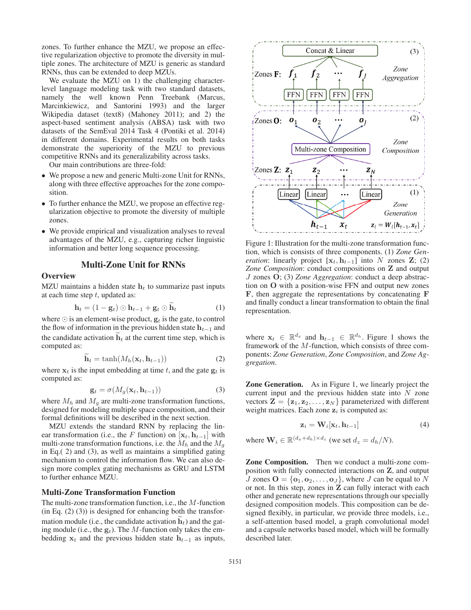zones. To further enhance the MZU, we propose an effective regularization objective to promote the diversity in multiple zones. The architecture of MZU is generic as standard RNNs, thus can be extended to deep MZUs.

We evaluate the MZU on 1) the challenging characterlevel language modeling task with two standard datasets, namely the well known Penn Treebank (Marcus, Marcinkiewicz, and Santorini 1993) and the larger Wikipedia dataset (text8) (Mahoney 2011); and 2) the aspect-based sentiment analysis (ABSA) task with two datasets of the SemEval 2014 Task 4 (Pontiki et al. 2014) in different domains. Experimental results on both tasks demonstrate the superiority of the MZU to previous competitive RNNs and its generalizability across tasks.

Our main contributions are three-fold:

- We propose a new and generic Multi-zone Unit for RNNs, along with three effective approaches for the zone composition.
- To further enhance the MZU, we propose an effective regularization objective to promote the diversity of multiple zones.
- We provide empirical and visualization analyses to reveal advantages of the MZU, e.g., capturing richer linguistic information and better long sequence processing.

## Multi-Zone Unit for RNNs

#### **Overview**

MZU maintains a hidden state  $h_t$  to summarize past inputs at each time step  $t$ , updated as:

$$
\mathbf{h}_t = (1 - \mathbf{g}_t) \odot \mathbf{h}_{t-1} + \mathbf{g}_t \odot \mathbf{h}_t \tag{1}
$$

**h**<sub>t</sub> = (1 − **g**<sub>t</sub>)  $\odot$  **h**<sub>t−1</sub> + **g**<sub>t</sub>  $\odot$  **h**<sub>t</sub> (1)<br>where  $\odot$  is an element-wise product, **g**<sub>t</sub> is the gate, to control<br>the flow of information in the previous hidden state **h**<sub>t−1</sub> and the flow of information in the previous hidden state  $h_{t-1}$  and the candidate activation  $\mathbf{h}_t$  at the current time step, which is computed as: computed as:

$$
\mathbf{h}_t = \tanh(M_h(\mathbf{x}_t, \mathbf{h}_{t-1}))
$$
 (2)

where  $\mathbf{x}_t$  is the input embedding at time t, and the gate  $\mathbf{g}_t$  is computed as: computed as:

$$
\mathbf{g}_t = \sigma(M_g(\mathbf{x}_t, \mathbf{h}_{t-1})) \tag{3}
$$

 $\mathbf{g}_t = \sigma(M_g(\mathbf{x}_t, \mathbf{h}_{t-1}))$  (3)<br>where  $M_h$  and  $M_g$  are multi-zone transformation functions, designed for modeling multiple space composition, and their formal definitions will be described in the next section.

MZU extends the standard RNN by replacing the linear transformation (i.e., the F function) on  $[\mathbf{x}_t, \mathbf{h}_{t-1}]$  with multi-zone transformation functions, i.e. the  $M_h$  and the  $M_g$ in Eq.( 2) and (3), as well as maintains a simplified gating mechanism to control the information flow. We can also design more complex gating mechanisms as GRU and LSTM to further enhance MZU.

## Multi-Zone Transformation Function

The multi-zone transformation function, i.e., the M-function  $(in Eq. (2) (3))$  is designed for enhancing both the transformation module (i.e., the candidate activation  $\mathbf{h}_t$ ) and the gat-<br>ing module (i.e., the  $g_{\lambda}$ ). The *M*-function only takes the eming module (i.e., the  $\mathbf{g}_t$ ). The M-function only takes the embedding  $x_t$  and the previous hidden state  $h_{t-1}$  as inputs,



Figure 1: Illustration for the multi-zone transformation function, which is consists of three components. (1) *Zone Generation*: linearly project  $[\mathbf{x}_t, \mathbf{h}_{t-1}]$  into N zones **Z**; (2) *Zone Composition*: conduct compositions on **Z** and output <sup>J</sup> zones **O**; (3) *Zone Aggregation*: conduct a deep abstraction on **O** with a position-wise FFN and output new zones **F**, then aggregate the representations by concatenating **F** and finally conduct a linear transformation to obtain the final representation.

where  $\mathbf{x}_t \in \mathbb{R}^{d_x}$  and  $\mathbf{h}_{t-1} \in \mathbb{R}^{d_h}$ . Figure 1 shows the framework of the M-function, which consists of three components: *Zone Generation*, *Zone Composition*, and *Zone Aggregation*.

Zone Generation. As in Figure 1, we linearly project the current input and the previous hidden state into  $N$  zone vectors  $\mathbf{Z} = \{z_1, z_2, \dots, z_N\}$  parameterized with different weight matrices. Each zone  $z_i$  is computed as:

$$
\mathbf{z}_i = \mathbf{W}_i[\mathbf{x}_t, \mathbf{h}_{t-1}] \tag{4}
$$

where  $\mathbf{W}_i \in \mathbb{R}^{(d_x+d_h)\times d_z}$  (we set  $d_z = d_h/N$ ).

Zone Composition. Then we conduct a multi-zone composition with fully connected interactions on **Z**, and output J zones  $\mathbf{O} = \{\mathbf{o}_1, \mathbf{o}_2, \dots, \mathbf{o}_J\}$ , where J can be equal to N or not. In this step, zones in **Z** can fully interact with each other and generate new representations through our specially designed composition models. This composition can be designed flexibly, in particular, we provide three models, i.e., a self-attention based model, a graph convolutional model and a capsule networks based model, which will be formally described later.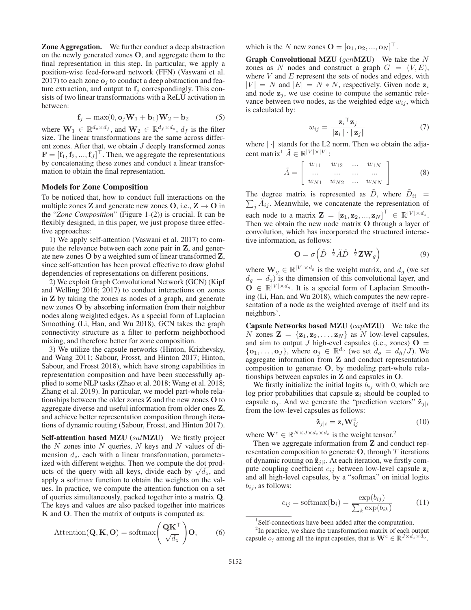Zone Aggregation. We further conduct a deep abstraction on the newly generated zones **O**, and aggregate them to the final representation in this step. In particular, we apply a position-wise feed-forward network (FFN) (Vaswani et al. 2017) to each zone  $o_i$  to conduct a deep abstraction and feature extraction, and output to  $f_j$  correspondingly. This consists of two linear transformations with a ReLU activation in between:

$$
\mathbf{f}_j = \max(0, \mathbf{o}_j \mathbf{W}_1 + \mathbf{b}_1) \mathbf{W}_2 + \mathbf{b}_2 \tag{5}
$$

where  $\mathbf{W}_1 \in \mathbb{R}^{d_o \times d_f}$ , and  $\mathbf{W}_2 \in \mathbb{R}^{d_f \times d_o}$ ,  $d_f$  is the filter size. The linear transformations are the same across differsize. The linear transformations are the same across different zones. After that, we obtain  $J$  deeply transformed zones  $\mathbf{F} = [\mathbf{f}_1, \mathbf{f}_2, ..., \mathbf{f}_J]^\top$ . Then, we aggregate the representations by concatenating these zones and conduct a linear transforby concatenating these zones and conduct a linear transformation to obtain the final representation.

## Models for Zone Composition

To be noticed that, how to conduct full interactions on the multiple zones **Z** and generate new zones  $O$ , i.e.,  $Z \rightarrow O$  in the "*Zone Composition*" (Figure 1-(2)) is crucial. It can be flexibly designed, in this paper, we just propose three effective approaches:

1) We apply self-attention (Vaswani et al. 2017) to compute the relevance between each zone pair in **Z**, and generate new zones **O** by a weighted sum of linear transformed **Z**, since self-attention has been proved effective to draw global dependencies of representations on different positions.

2) We exploit Graph Convolutional Network (GCN) (Kipf and Welling 2016; 2017) to conduct interactions on zones in **Z** by taking the zones as nodes of a graph, and generate new zones **O** by absorbing information from their neighbor nodes along weighted edges. As a special form of Laplacian Smoothing (Li, Han, and Wu 2018), GCN takes the graph connectivity structure as a filter to perform neighborhood mixing, and therefore better for zone composition.

3) We utilize the capsule networks (Hinton, Krizhevsky, and Wang 2011; Sabour, Frosst, and Hinton 2017; Hinton, Sabour, and Frosst 2018), which have strong capabilities in representation composition and have been successfully applied to some NLP tasks (Zhao et al. 2018; Wang et al. 2018; Zhang et al. 2019). In particular, we model part-whole relationships between the older zones **Z** and the new zones **O** to aggregate diverse and useful information from older ones **Z**, and achieve better representation composition through iterations of dynamic routing (Sabour, Frosst, and Hinton 2017).

Self-attention based MZU (satMZU) We firstly project the  $N$  zones into  $N$  queries,  $N$  keys and  $N$  values of dimension  $d_z$ , each with a linear transformation, parameterized with different weights. Then we compute the dot products of the query with all keys, divide each by  $\sqrt{d_z}$ , and apply a softmax function to obtain the weights on the values. In practice, we compute the attention function on a set of queries simultaneously, packed together into a matrix **Q**. The keys and values are also packed together into matrices **K** and **O**. Then the matrix of outputs is computed as:

$$
\text{Attention}(\mathbf{Q}, \mathbf{K}, \mathbf{O}) = \text{softmax}\left(\frac{\mathbf{Q}\mathbf{K}^{\top}}{\sqrt{d_z}}\right) \mathbf{O},\tag{6}
$$

which is the N new zones  $\mathbf{O} = [\mathbf{o}_1, \mathbf{o}_2, ..., \mathbf{o}_N]^\top$ .

**Graph Convolutional MZU** ( $gcn$ **MZU**) We take the N zones as N nodes and construct a graph  $G = (V, E)$ , where  $V$  and  $E$  represent the sets of nodes and edges, with  $|V| = N$  and  $|E| = N * N$ , respectively. Given node  $z_i$ and node  $z_j$ , we use cosine to compute the semantic relevance between two nodes, as the weighted edge  $w_{ij}$ , which is calculated by:

$$
w_{ij} = \frac{\mathbf{z}_i^\top \mathbf{z}_j}{\|\mathbf{z}_i\| \cdot \|\mathbf{z}_j\|} \tag{7}
$$
  
where  $\|\cdot\|$  stands for the L2 norm. Then we obtain the adja-

cent matrix<sup>1</sup>  $\tilde{A} \in \mathbb{R}^{|V| \times |V|}$ :

$$
\tilde{A} = \left[ \begin{array}{cccc} w_{11} & w_{12} & \dots & w_{1N} \\ \dots & \dots & \dots & \dots \\ w_{N1} & w_{N2} & \dots & w_{NN} \end{array} \right] \tag{8}
$$

The degree matrix is represented as D, where  $D_{ii} = \sum_i \tilde{A}_{ij}$ . Meanwhile, we concatenate the representation of  $j A_{ij}$ . Meanwhile, we concatenate the representation of each node to a matrix  $\mathbf{Z} = [\mathbf{z}_1, \mathbf{z}_2, ..., \mathbf{z}_N]^\top \in \mathbb{R}^{|V| \times d_z}$ .<br>Then we obtain the new node matrix **O** through a layer of Then we obtain the new node matrix **O** through a layer of convolution, which has incorporated the structured interactive information, as follows:

$$
\mathbf{O} = \sigma \left( \tilde{D}^{-\frac{1}{2}} \tilde{A} \tilde{D}^{-\frac{1}{2}} \mathbf{Z} \mathbf{W}_g \right)
$$
(9)

where  $\mathbf{W}_g \in \mathbb{R}^{|V| \times d_g}$  is the weight matrix, and  $d_g$  (we set  $d_g = d_g$ ) is the dimension of this convolutional layer and  $d_g = d_z$ ) is the dimension of this convolutional layer, and<br> $\mathbf{Q} \in \mathbb{R}^{|V| \times d_g}$ . It is a special form of Laplacian Smooth  $\mathbf{O} \in \mathbb{R}^{|V| \times d_g}$ . It is a special form of Laplacian Smoothing (Li, Han, and Wu 2018), which computes the new representation of a node as the weighted average of itself and its neighbors'.

Capsule Networks based MZU (capMZU) We take the N zones  $\mathbf{Z} = {\mathbf{z}_1, \mathbf{z}_2, \dots, \mathbf{z}_N}$  as N low-level capsules, and aim to output J high-evel capsules (i.e., zones)  $O =$  ${\bf o}_1,\ldots,{\bf o}_J$ , where  ${\bf o}_j \in \mathbb{R}^{d_o}$  (we set  $d_o = d_h/J$ ). We aggregate information from **Z** and conduct representation composition to generate **O**, by modeling part-whole relationships between capsules in **Z** and capsules in **O**.

We firstly initialize the initial logits  $b_{ij}$  with 0, which are log prior probabilities that capsule  $z_i$  should be coupled to capsule  $o_j$ . And we generate the "prediction vectors"  $\hat{\mathbf{z}}_{j|i}$ from the low-level capsules as follows:

$$
\hat{\mathbf{z}}_{j|i} = \mathbf{z}_i \mathbf{W}_{ij}^c \tag{10}
$$

where  $\mathbf{W}^c \in \mathbb{R}^{N \times J \times d_z \times d_o}$  is the weight tensor.<sup>2</sup><br>Then we aggregate information from **Z** and co

Then we aggregate information from **Z** and conduct representation composition to generate  $O$ , through  $T$  iterations of dynamic routing on  $\hat{\mathbf{z}}_{j|i}$ . At each iteration, we firstly compute coupling coefficient  $c_{ij}$  between low-level capsule  $z_i$ and all high-level capsules, by a "softmax" on initial logits  $b_{ij}$ , as follows:

$$
c_{ij} = \text{softmax}(\mathbf{b}_i) = \frac{\exp(b_{ij})}{\sum_k \exp(b_{ik})}
$$
(11)

<sup>1</sup>Self-connections have been added after the computation.

 $2$ In practice, we share the transformation matrix of each output capsule  $o_j$  among all the input capsules, that is  $\mathbf{W}^c \in \mathbb{R}^{J \times d_z \times d_o}$ .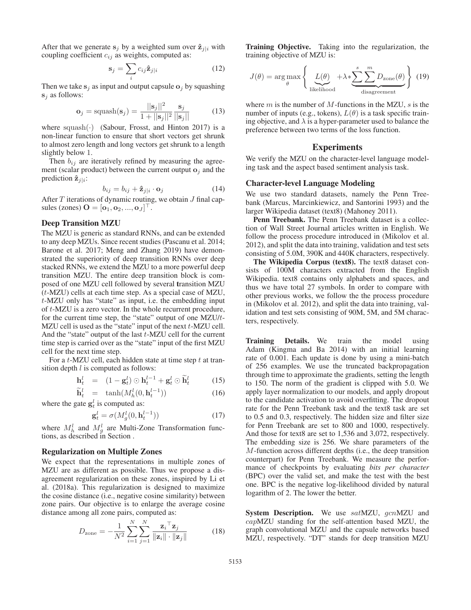After that we generate  $s_j$  by a weighted sum over  $\hat{z}_{j|i}$  with coupling coefficient  $c_{ij}$  as weights, computed as:

$$
\mathbf{s}_j = \sum_i c_{ij} \hat{\mathbf{z}}_{j|i} \tag{12}
$$

Then we take  $s_j$  as input and output capsule  $o_j$  by squashing **<sup>s</sup>**<sup>j</sup> as follows:

$$
\mathbf{o}_j = \text{squash}(\mathbf{s}_j) = \frac{||\mathbf{s}_j||^2}{1 + ||\mathbf{s}_j||^2} \frac{\mathbf{s}_j}{||\mathbf{s}_j||}
$$
(13)

where squash( $\cdot$ ) (Sabour, Frosst, and Hinton 2017) is a non-linear function to ensure that short vectors get shrunk non-linear function to ensure that short vectors get shrunk to almost zero length and long vectors get shrunk to a length slightly below 1.

Then  $b_{ij}$  are iteratively refined by measuring the agreement (scalar product) between the current output  $\mathbf{o}_i$  and the prediction  $\hat{\mathbf{z}}_{i|i}$ :

$$
b_{ij} = b_{ij} + \hat{\mathbf{z}}_{j|i} \cdot \mathbf{o}_j \tag{14}
$$

 $b_{ij} = b_{ij} + \hat{\mathbf{z}}_{j|i} \cdot \mathbf{o}_j$  (14)<br>After *T* iterations of dynamic routing, we obtain *J* final capsules (zones)  $\mathbf{O} = [\mathbf{o}_1, \mathbf{o}_2, ..., \mathbf{o}_J]^\top$ .

# Deep Transition MZU

The MZU is generic as standard RNNs, and can be extended to any deep MZUs. Since recent studies (Pascanu et al. 2014; Barone et al. 2017; Meng and Zhang 2019) have demonstrated the superiority of deep transition RNNs over deep stacked RNNs, we extend the MZU to a more powerful deep transition MZU. The entire deep transition block is composed of one MZU cell followed by several transition MZU (t-MZU) cells at each time step. As a special case of MZU, t-MZU only has "state" as input, i.e. the embedding input of t-MZU is a zero vector. In the whole recurrent procedure, for the current time step, the "state" output of one MZU/t-MZU cell is used as the "state" input of the next  $t$ -MZU cell. And the "state" output of the last t-MZU cell for the current time step is carried over as the "state" input of the first MZU cell for the next time step.

For a  $t$ -MZU cell, each hidden state at time step  $t$  at transition depth  $l$  is computed as follows:

$$
\mathbf{h}_t^l = (1 - \mathbf{g}_t^l) \odot \mathbf{h}_t^{l-1} + \mathbf{g}_t^l \odot \widetilde{\mathbf{h}}_t^l \tag{15}
$$

$$
\widetilde{\mathbf{h}}_t^l = \tanh(M_h^l(0, \mathbf{h}_t^{l-1}))
$$
\n
$$
\text{state } \mathbf{g}_t^l \text{ is computed as:}
$$
\n(16)

where the gate  $\mathbf{g}_t^l$  is computed as:

$$
\mathbf{g}_t^l = \sigma(M_g^l(0, \mathbf{h}_t^{l-1}))
$$
\n(17)

where  $M_h^l$  and  $M_g^l$  are Multi-Zone Transformation functions, as described in Section .

#### Regularization on Multiple Zones

We expect that the representations in multiple zones of MZU are as different as possible. Thus we propose a disagreement regularization on these zones, inspired by Li et al. (2018a). This regularization is designed to maximize the cosine distance (i.e., negative cosine similarity) between zone pairs. Our objective is to enlarge the average cosine distance among all zone pairs, computed as:

$$
D_{\text{zone}} = -\frac{1}{N^2} \sum_{i=1}^{N} \sum_{j=1}^{N} \frac{\mathbf{z}_i^{\top} \mathbf{z}_j}{\|\mathbf{z}_i\| \cdot \|\mathbf{z}_j\|}
$$
(18)

Training Objective. Taking into the regularization, the training objective of MZU is:

$$
J(\theta) = \arg \max_{\theta} \left\{ \underbrace{L(\theta)}_{\text{likelihood}} + \lambda * \underbrace{\sum_{s}^{s} \sum_{m}^{m} D_{\text{zone}}(\theta)}_{\text{disagreement}} \right\} (19)
$$

where  $m$  is the number of  $M$ -functions in the MZU,  $s$  is the number of inputs (e.g., tokens),  $L(\theta)$  is a task specific training objective, and  $\lambda$  is a hyper-parameter used to balance the preference between two terms of the loss function.

## Experiments

We verify the MZU on the character-level language modeling task and the aspect based sentiment analysis task.

### Character-level Language Modeling

We use two standard datasets, namely the Penn Treebank (Marcus, Marcinkiewicz, and Santorini 1993) and the larger Wikipedia dataset (text8) (Mahoney 2011).

Penn Treebank. The Penn Treebank dataset is a collection of Wall Street Journal articles written in English. We follow the process procedure introduced in (Mikolov et al. 2012), and split the data into training, validation and test sets consisting of 5.0M, 390K and 440K characters, respectively.

The Wikipedia Corpus (text8). The text8 dataset consists of 100M characters extracted from the English Wikipedia. text8 contains only alphabets and spaces, and thus we have total 27 symbols. In order to compare with other previous works, we follow the the process procedure in (Mikolov et al. 2012), and split the data into training, validation and test sets consisting of 90M, 5M, and 5M characters, respectively.

Training Details. We train the model using Adam (Kingma and Ba 2014) with an initial learning rate of 0.001. Each update is done by using a mini-batch of 256 examples. We use the truncated backpropagation through time to approximate the gradients, setting the length to 150. The norm of the gradient is clipped with 5.0. We apply layer normalization to our models, and apply dropout to the candidate activation to avoid overfitting. The dropout rate for the Penn Treebank task and the text8 task are set to 0.5 and 0.3, respectively. The hidden size and filter size for Penn Treebank are set to 800 and 1000, respectively. And those for text8 are set to 1,536 and 3,072, respectively. The embedding size is 256. We share parameters of the M-function across different depths (i.e., the deep transition counterpart) for Penn Treebank. We measure the performance of checkpoints by evaluating *bits per character* (BPC) over the valid set, and make the test with the best one. BPC is the negative log-likelihood divided by natural logarithm of 2. The lower the better.

System Description. We use satMZU, gcnMZU and capMZU standing for the self-attention based MZU, the graph convolutional MZU and the capsule networks based MZU, respectively. "DT" stands for deep transition MZU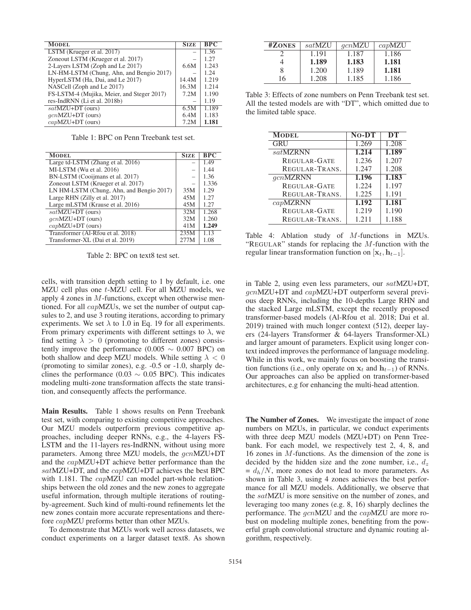| <b>MODEL</b>                               | <b>SIZE</b> | <b>BPC</b> |
|--------------------------------------------|-------------|------------|
|                                            |             |            |
| LSTM (Krueger et al. 2017)                 |             | 1.36       |
| Zoneout LSTM (Krueger et al. 2017)         |             | 1.27       |
| 2-Layers LSTM (Zoph and Le 2017)           | 6.6M        | 1.243      |
| LN-HM-LSTM (Chung, Ahn, and Bengio 2017)   |             | 1.24       |
| HyperLSTM (Ha, Dai, and Le 2017)           | 14.4M       | 1.219      |
| NASCell (Zoph and Le 2017)                 | 16.3M       | 1.214      |
| FS-LSTM-4 (Mujika, Meier, and Steger 2017) | 7.2M        | 1.190      |
| res-IndRNN (Li et al. 2018b)               |             | 1.19       |
| $satMZU+DT$ (ours)                         | 6.5M        | 1.189      |
| $qcnMZU+DT$ (ours)                         | 6.4M        | 1.183      |
| $capMZU+DT$ (ours)                         | 7.2M        | 1.181      |

Table 1: BPC on Penn Treebank test set.

| <b>MODEL</b>                             | <b>SIZE</b> | <b>BPC</b> |
|------------------------------------------|-------------|------------|
| Large td-LSTM (Zhang et al. 2016)        |             | 1.49       |
| MI-LSTM (Wu et al. 2016)                 |             | 1.44       |
| BN-LSTM (Cooijmans et al. 2017)          |             | 1.36       |
| Zoneout LSTM (Krueger et al. 2017)       |             | 1.336      |
| LN HM-LSTM (Chung, Ahn, and Bengio 2017) | 35M         | 1.29       |
| Large RHN (Zilly et al. 2017)            | 45M         | 1.27       |
| Large mLSTM (Krause et al. 2016)         | 45M         | 1.27       |
| $satMZU+DT$ (ours)                       | 32M         | 1.268      |
| $qcnMZU+DT$ (ours)                       | 32M         | 1.260      |
| $capMZU+DT$ (ours)                       | 41M         | 1.249      |
| Transformer (Al-Rfou et al. 2018)        | 235M        | 1.13       |
| Transformer-XL (Dai et al. 2019)         | 277M        | 1.08       |

Table 2: BPC on text8 test set.

cells, with transition depth setting to 1 by default, i.e. one MZU cell plus one t-MZU cell. For all MZU models, we apply 4 zones in  $M$ -functions, except when otherwise mentioned. For all capMZUs, we set the number of output capsules to 2, and use 3 routing iterations, according to primary experiments. We set  $\lambda$  to 1.0 in Eq. 19 for all experiments. From primary experiments with different settings to  $\lambda$ , we find setting  $\lambda > 0$  (promoting to different zones) consistently improve the performance (0.005  $\sim$  0.007 BPC) on both shallow and deep MZU models. While setting  $\lambda < 0$ (promoting to similar zones), e.g. -0.5 or -1.0, sharply declines the performance (0.03  $\sim$  0.05 BPC). This indicates modeling multi-zone transformation affects the state transition, and consequently affects the performance.

Main Results. Table 1 shows results on Penn Treebank test set, with comparing to existing competitive approaches. Our MZU models outperform previous competitive approaches, including deeper RNNs, e.g., the 4-layers FS-LSTM and the 11-layers res-IndRNN, without using more parameters. Among three MZU models, the  $gcnMZU+DT$ and the capMZU+DT achieve better performance than the satMZU+DT, and the capMZU+DT achieves the best BPC with 1.181. The *capMZU* can model part-whole relationships between the old zones and the new zones to aggregate useful information, through multiple iterations of routingby-agreement. Such kind of multi-round refinements let the new zones contain more accurate representations and therefore capMZU preforms better than other MZUs.

To demonstrate that MZUs work well across datasets, we conduct experiments on a larger dataset text8. As shown

| #ZONES | satMZU | qcnMZU | capMZU |
|--------|--------|--------|--------|
|        | 1.191  | 1.187  | 1.186  |
|        | 1.189  | 1.183  | 1.181  |
| 8      | 1.200  | 1.189  | 1.181  |
| 16     | 1.208  | 1.185  | 1.186  |

Table 3: Effects of zone numbers on Penn Treebank test set. All the tested models are with "DT", which omitted due to the limited table space.

| <b>MODEL</b>        | $No-DT$ | DT    |
|---------------------|---------|-------|
| GRU                 | 1.269   | 1.208 |
| satMZRNN            | 1.214   | 1.189 |
| <b>REGULAR-GATE</b> | 1.236   | 1.207 |
| REGULAR-TRANS.      | 1.247   | 1.208 |
| $gcn$ MZRNN         | 1.196   | 1.183 |
| <b>REGULAR-GATE</b> | 1.224   | 1.197 |
| REGULAR-TRANS.      | 1.225   | 1.191 |
| $cap$ MZRNN         | 1.192   | 1.181 |
| <b>REGULAR-GATE</b> | 1.219   | 1.190 |
| REGULAR-TRANS.      | 1.211   | 1.188 |

Table 4: Ablation study of M-functions in MZUs. "REGULAR" stands for replacing the  $M$ -function with the regular linear transformation function on  $[\mathbf{x}_t, \mathbf{h}_{t-1}]$ .

in Table 2, using even less parameters, our satMZU+DT, gcnMZU+DT and capMZU+DT outperform several previous deep RNNs, including the 10-depths Large RHN and the stacked Large mLSTM, except the recently proposed transformer-based models (Al-Rfou et al. 2018; Dai et al. 2019) trained with much longer context (512), deeper layers (24-layers Transformer & 64-layers Transformer-XL) and larger amount of parameters. Explicit using longer context indeed improves the performance of language modeling. While in this work, we mainly focus on boosting the transition functions (i.e., only operate on  $x_t$  and  $h_{t-1}$ ) of RNNs. Our approaches can also be applied on transformer-based architectures, e.g for enhancing the multi-head attention.

The Number of Zones. We investigate the impact of zone numbers on MZUs, in particular, we conduct experiments with three deep MZU models (MZU+DT) on Penn Treebank. For each model, we respectively test 2, 4, 8, and 16 zones in M-functions. As the dimension of the zone is decided by the hidden size and the zone number, i.e.,  $d_z$  $= d_h/N$ , more zones do not lead to more parameters. As shown in Table 3, using 4 zones achieves the best performance for all MZU models. Additionally, we observe that the satMZU is more sensitive on the number of zones, and leveraging too many zones (e.g. 8, 16) sharply declines the performance. The gcnMZU and the capMZU are more robust on modeling multiple zones, benefiting from the powerful graph convolutional structure and dynamic routing algorithm, respectively.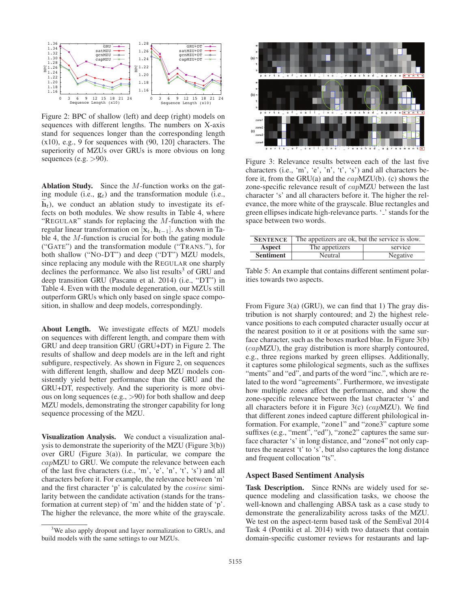

Figure 2: BPC of shallow (left) and deep (right) models on sequences with different lengths. The numbers on X-axis stand for sequences longer than the corresponding length (x10), e.g., 9 for sequences with (90, 120] characters. The superiority of MZUs over GRUs is more obvious on long sequences (e.g.  $>90$ ).

Ablation Study. Since the M-function works on the gating module (i.e.,  $g_t$ ) and the transformation module (i.e.,  $h_t$ ), we conduct an ablation study to investigate its effects on both modules. We show results in Table 4, where  $h_t$ ), we conduct an ablation study to investigate its ef-"REGULAR" stands for replacing the  $M$ -function with the regular linear transformation on  $[\mathbf{x}_t, \mathbf{h}_{t-1}]$ . As shown in Table 4, the M-function is crucial for both the gating module ("GATE") and the transformation module ("TRANS."), for both shallow ("NO-DT") and deep ("DT") MZU models, since replacing any module with the REGULAR one sharply declines the performance. We also list results $3$  of GRU and deep transition GRU (Pascanu et al. 2014) (i.e., "DT") in Table 4. Even with the module degeneration, our MZUs still outperform GRUs which only based on single space composition, in shallow and deep models, correspondingly.

About Length. We investigate effects of MZU models on sequences with different length, and compare them with GRU and deep transition GRU (GRU+DT) in Figure 2. The results of shallow and deep models are in the left and right subfigure, respectively. As shown in Figure 2, on sequences with different length, shallow and deep MZU models consistently yield better performance than the GRU and the GRU+DT, respectively. And the superiority is more obvious on long sequences (e.g., >90) for both shallow and deep MZU models, demonstrating the stronger capability for long sequence processing of the MZU.

Visualization Analysis. We conduct a visualization analysis to demonstrate the superiority of the MZU (Figure 3(b)) over GRU (Figure 3(a)). In particular, we compare the capMZU to GRU. We compute the relevance between each of the last five characters (i.e., 'm', 'e', 'n', 't', 's') and all characters before it. For example, the relevance between 'm' and the first character 'p' is calculated by the cosine similarity between the candidate activation (stands for the transformation at current step) of 'm' and the hidden state of 'p'. The higher the relevance, the more white of the grayscale.



Figure 3: Relevance results between each of the last five characters (i.e., 'm', 'e', 'n', 't', 's') and all characters before it, from the GRU(a) and the  $capMZU(b)$ . (c) shows the zone-specific relevance result of capMZU between the last character 's' and all characters before it. The higher the relevance, the more white of the grayscale. Blue rectangles and green ellipses indicate high-relevance parts. '.' stands for the space between two words.

| <b>SENTENCE</b>  | The appetizers are ok, but the service is slow. |          |  |
|------------------|-------------------------------------------------|----------|--|
| Aspect           | The appetizers                                  | service  |  |
| <b>Sentiment</b> | Neutral                                         | Negative |  |

Table 5: An example that contains different sentiment polarities towards two aspects.

From Figure 3(a) (GRU), we can find that 1) The gray distribution is not sharply contoured; and 2) the highest relevance positions to each computed character usually occur at the nearest position to it or at positions with the same surface character, such as the boxes marked blue. In Figure 3(b) (capMZU), the gray distribution is more sharply contoured, e.g., three regions marked by green ellipses. Additionally, it captures some philological segments, such as the suffixes "ments" and "ed", and parts of the word "inc.", which are related to the word "agreements". Furthermore, we investigate how multiple zones affect the performance, and show the zone-specific relevance between the last character 's' and all characters before it in Figure 3(c) (capMZU). We find that different zones indeed capture different philological information. For example, "zone1" and "zone3" capture some suffixes (e.g., "ment", "ed"), "zone2" captures the same surface character 's' in long distance, and "zone4" not only captures the nearest 't' to 's', but also captures the long distance and frequent collocation "ts".

## Aspect Based Sentiment Analysis

Task Description. Since RNNs are widely used for sequence modeling and classification tasks, we choose the well-known and challenging ABSA task as a case study to demonstrate the generalizability across tasks of the MZU. We test on the aspect-term based task of the SemEval 2014 Task 4 (Pontiki et al. 2014) with two datasets that contain domain-specific customer reviews for restaurants and lap-

<sup>&</sup>lt;sup>3</sup>We also apply dropout and layer normalization to GRUs, and build models with the same settings to our MZUs.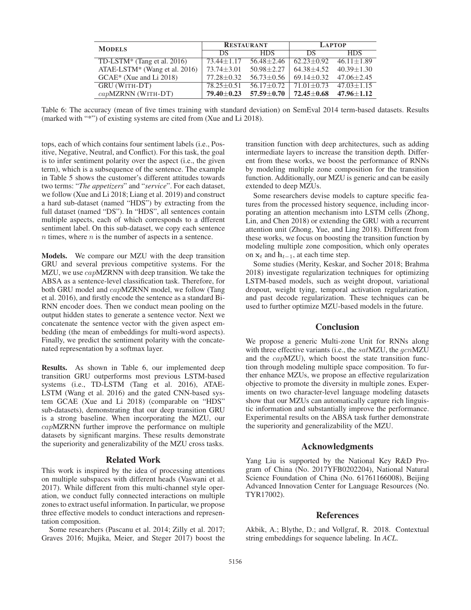| <b>MODELS</b>                             | <b>RESTAURANT</b> |                | <b>LAPTOP</b>      |                |
|-------------------------------------------|-------------------|----------------|--------------------|----------------|
|                                           | DS.               | HDS.           | DS.                | HDS.           |
| TD-LSTM* (Tang et al. $2016$ )            | $73.44 + 1.17$    | $56.48 + 2.46$ | $62.23 + 0.92$     | $46.11 + 1.89$ |
| ATAE-LSTM <sup>*</sup> (Wang et al. 2016) | $73.74 + 3.01$    | $50.98 + 2.27$ | $64.38 + 4.52$     | $40.39 + 1.30$ |
| $GCAE^*$ (Xue and Li 2018)                | $77.28 + 0.32$    | $56.73 + 0.56$ | $69.14 \pm 0.32$   | $47.06 + 2.45$ |
| <b>GRU (WITH-DT)</b>                      | $78.25 + 0.51$    | $56.17 + 0.72$ | $71.01 + 0.73$     | $47.03 + 1.15$ |
| $capMZRNN$ (WITH-DT)                      | $79.40 + 0.23$    | $57.59 + 0.70$ | $72.45 {\pm} 0.68$ | $47.96 + 1.12$ |

Table 6: The accuracy (mean of five times training with standard deviation) on SemEval 2014 term-based datasets. Results (marked with "\*") of existing systems are cited from (Xue and Li 2018).

tops, each of which contains four sentiment labels (i.e., Positive, Negative, Neutral, and Conflict). For this task, the goal is to infer sentiment polarity over the aspect (i.e., the given term), which is a subsequence of the sentence. The example in Table 5 shows the customer's different attitudes towards two terms: "*The appetizers*" and "*service*". For each dataset, we follow (Xue and Li 2018; Liang et al. 2019) and construct a hard sub-dataset (named "HDS") by extracting from the full dataset (named "DS"). In "HDS", all sentences contain multiple aspects, each of which corresponds to a dfferent sentiment label. On this sub-dataset, we copy each sentence  $n$  times, where  $n$  is the number of aspects in a sentence.

Models. We compare our MZU with the deep transition GRU and several previous competitive systems. For the MZU, we use *capMZRNN* with deep transition. We take the ABSA as a sentence-level classification task. Therefore, for both GRU model and capMZRNN model, we follow (Tang et al. 2016), and firstly encode the sentence as a standard Bi-RNN encoder does. Then we conduct mean pooling on the output hidden states to generate a sentence vector. Next we concatenate the sentence vector with the given aspect embedding (the mean of embeddings for multi-word aspects). Finally, we predict the sentiment polarity with the concatenated representation by a softmax layer.

Results. As shown in Table 6, our implemented deep transition GRU outperforms most previous LSTM-based systems (i.e., TD-LSTM (Tang et al. 2016), ATAE-LSTM (Wang et al. 2016) and the gated CNN-based system GCAE (Xue and Li 2018) (comparable on "HDS" sub-datasets), demonstrating that our deep transition GRU is a strong baseline. When incorporating the MZU, our capMZRNN further improve the performance on multiple datasets by significant margins. These results demonstrate the superiority and generalizability of the MZU cross tasks.

# Related Work

This work is inspired by the idea of processing attentions on multiple subspaces with different heads (Vaswani et al. 2017). While different from this multi-channel style operation, we conduct fully connected interactions on multiple zones to extract useful information. In particular, we propose three effective models to conduct interactions and representation composition.

Some researchers (Pascanu et al. 2014; Zilly et al. 2017; Graves 2016; Mujika, Meier, and Steger 2017) boost the

transition function with deep architectures, such as adding intermediate layers to increase the transition depth. Different from these works, we boost the performance of RNNs by modeling multiple zone composition for the transition function. Additionally, our MZU is generic and can be easily extended to deep MZUs.

Some researchers devise models to capture specific features from the processed history sequence, including incorporating an attention mechanism into LSTM cells (Zhong, Lin, and Chen 2018) or extending the GRU with a recurrent attention unit (Zhong, Yue, and Ling 2018). Different from these works, we focus on boosting the transition function by modeling multiple zone composition, which only operates on  $\mathbf{x}_t$  and  $\mathbf{h}_{t-1}$ , at each time step.

Some studies (Merity, Keskar, and Socher 2018; Brahma 2018) investigate regularization techniques for optimizing LSTM-based models, such as weight dropout, variational dropout, weight tying, temporal activation regularization, and past decode regularization. These techniques can be used to further optimize MZU-based models in the future.

# **Conclusion**

We propose a generic Multi-zone Unit for RNNs along with three effective variants (i.e., the  $satMZU$ , the  $gcnMZU$ and the capMZU), which boost the state transition function through modeling multiple space composition. To further enhance MZUs, we propose an effective regularization objective to promote the diversity in multiple zones. Experiments on two character-level language modeling datasets show that our MZUs can automatically capture rich linguistic information and substantially improve the performance. Experimental results on the ABSA task further demonstrate the superiority and generalizability of the MZU.

## Acknowledgments

Yang Liu is supported by the National Key R&D Program of China (No. 2017YFB0202204), National Natural Science Foundation of China (No. 61761166008), Beijing Advanced Innovation Center for Language Resources (No. TYR17002).

## References

Akbik, A.; Blythe, D.; and Vollgraf, R. 2018. Contextual string embeddings for sequence labeling. In *ACL*.